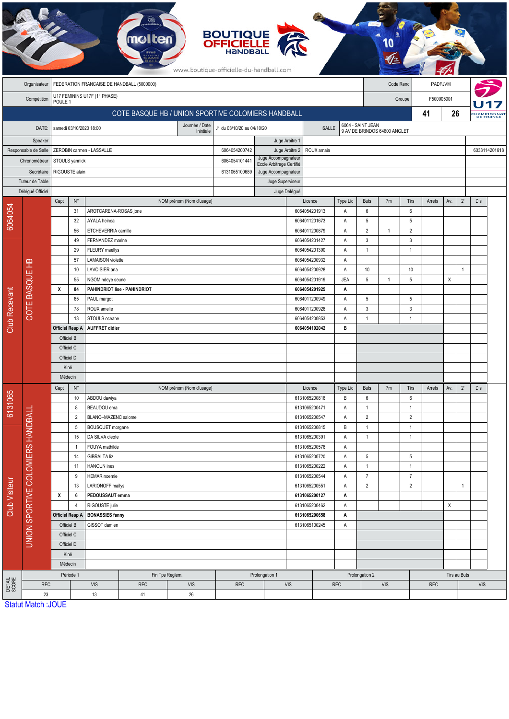|                               |                                   |                                            |                                  |                                                    |                              |                             | <b>BOUTIQUE</b><br><b>OFFICIELLE</b><br>HANDBALL<br>www.boutique-officielle-du-handball.com |                                         |                                                   |                      |                                |                |                                |                |     |                |                               |  |  |
|-------------------------------|-----------------------------------|--------------------------------------------|----------------------------------|----------------------------------------------------|------------------------------|-----------------------------|---------------------------------------------------------------------------------------------|-----------------------------------------|---------------------------------------------------|----------------------|--------------------------------|----------------|--------------------------------|----------------|-----|----------------|-------------------------------|--|--|
|                               | Organisateur                      | FEDERATION FRANCAISE DE HANDBALL (5000000) |                                  |                                                    |                              |                             |                                                                                             |                                         |                                                   |                      | Code Renc                      |                |                                | PADFJVM        |     |                |                               |  |  |
|                               | Compétition                       | U17 FEMININS U17F (1° PHASE)               |                                  |                                                    |                              |                             |                                                                                             |                                         |                                                   | F500005001<br>Groupe |                                |                |                                |                |     |                |                               |  |  |
|                               |                                   | POULE 1                                    |                                  |                                                    |                              |                             |                                                                                             |                                         |                                                   |                      |                                |                |                                | 41             | 26  |                |                               |  |  |
|                               |                                   |                                            |                                  | COTE BASQUE HB / UNION SPORTIVE COLOMIERS HANDBALL |                              |                             |                                                                                             |                                         |                                                   |                      |                                |                |                                |                |     |                | <b>Hampionna</b><br>DE FRANCE |  |  |
| DATE:                         |                                   |                                            |                                  | samedi 03/10/2020 18:00                            |                              | Journée / Date<br>Inintiale | J1 du 03/10/20 au 04/10/20                                                                  | SALLE:                                  | 6064 - SAINT JEAN<br>9 AV DE BRINDOS 64600 ANGLET |                      |                                |                |                                |                |     |                |                               |  |  |
| Speaker                       |                                   |                                            |                                  |                                                    |                              |                             |                                                                                             |                                         |                                                   |                      |                                |                |                                |                |     |                |                               |  |  |
| Responsable de Salle          |                                   |                                            |                                  | ZEROBIN carmen - LASSALLE                          |                              |                             | 6064054200742                                                                               | Juge Arbitre 2<br>Juge Accompagnateur   | ROUX amaia                                        |                      |                                |                |                                |                |     |                | 6033114201618                 |  |  |
| Chronométreur                 |                                   |                                            | STOULS yannick                   |                                                    |                              |                             | 6064054101441                                                                               | Ecole Arbitrage Certifié                |                                                   |                      |                                |                |                                |                |     |                |                               |  |  |
| Secrétaire<br>Tuteur de Table |                                   |                                            | RIGOUSTE alain                   |                                                    |                              |                             | 6131065100689                                                                               | Juge Accompagnateur<br>Juge Superviseur |                                                   |                      |                                |                |                                |                |     |                |                               |  |  |
|                               | Délégué Officiel                  |                                            |                                  |                                                    |                              |                             |                                                                                             | Juge Délégué                            |                                                   |                      |                                |                |                                |                |     |                |                               |  |  |
|                               |                                   | Capt                                       | $\mathsf{N}^\circ$               |                                                    |                              | NOM prénom (Nom d'usage)    |                                                                                             |                                         | Licence                                           | Type Lic             | <b>Buts</b>                    | 7m             | Tirs                           | Arrets         | Av. | $2^{\circ}$    | Dis                           |  |  |
| 6064054                       |                                   |                                            | 31                               | AROTCARENA-ROSAS jone                              |                              |                             |                                                                                             |                                         | 6064054201913                                     | Α                    | $\,6\,$                        |                | $6\phantom{1}6$                |                |     |                |                               |  |  |
|                               |                                   | 32                                         |                                  | AYALA heinoa                                       |                              |                             |                                                                                             |                                         | 6064011201673                                     | Α                    | $5\,$                          |                | 5                              |                |     |                |                               |  |  |
|                               |                                   |                                            | 56                               | ETCHEVERRIA camille                                |                              |                             |                                                                                             |                                         | 6064011200879                                     | Α                    | $\overline{2}$                 | $\overline{1}$ | $\overline{2}$                 |                |     |                |                               |  |  |
|                               |                                   |                                            | 49                               | FERNANDEZ marine                                   |                              |                             |                                                                                             |                                         | 6064054201427                                     | Α                    | $\mathbf{3}$                   |                | $\mathbf{3}$                   |                |     |                |                               |  |  |
|                               |                                   | 29                                         |                                  | FLEURY maellys                                     |                              |                             |                                                                                             |                                         | 6064054201390                                     | Α                    | $\mathbf{1}$                   |                | $\overline{1}$                 |                |     |                |                               |  |  |
|                               |                                   |                                            | 57                               | <b>LAMAISON</b> violette                           |                              |                             |                                                                                             |                                         | 6064054200932                                     | Α                    | $10$                           |                |                                |                |     |                |                               |  |  |
|                               |                                   |                                            | LAVOISIER ana<br>10              |                                                    |                              |                             |                                                                                             |                                         |                                                   | 6064054200928<br>Α   |                                |                | 10                             |                |     | $\overline{1}$ |                               |  |  |
|                               |                                   |                                            |                                  | 55<br>NGOM ndeye seune                             |                              |                             |                                                                                             |                                         | 6064054201919                                     | <b>JEA</b>           | $\,$ 5 $\,$                    | $\mathbf{1}$   | 5                              |                | X   |                |                               |  |  |
| <b>Club Recevant</b>          |                                   | х                                          | 84                               |                                                    | PAHINDRIOT lise - PAHINDRIOT |                             |                                                                                             |                                         | 6064054201925                                     | Α                    |                                |                |                                |                |     |                |                               |  |  |
|                               | COTE BASQUE HB                    |                                            | 65                               | PAUL margot                                        |                              |                             |                                                                                             |                                         | 6064011200949                                     | Α                    | $\sqrt{5}$                     |                | 5                              |                |     |                |                               |  |  |
|                               |                                   |                                            | 78<br>13                         | ROUX amelie<br>STOULS oceane                       |                              |                             |                                                                                             |                                         | 6064011200926<br>6064054200853                    | Α<br>Α               | $\mathbf{3}$<br>$\overline{1}$ |                | $\mathbf{3}$<br>$\overline{1}$ |                |     |                |                               |  |  |
|                               |                                   |                                            | <b>Officiel Resp A</b>           | <b>AUFFRET didier</b>                              |                              |                             |                                                                                             |                                         | 6064054102042                                     | в                    |                                |                |                                |                |     |                |                               |  |  |
|                               |                                   |                                            | Officiel B                       |                                                    |                              |                             |                                                                                             |                                         |                                                   |                      |                                |                |                                |                |     |                |                               |  |  |
|                               |                                   | Officiel C                                 |                                  |                                                    |                              |                             |                                                                                             |                                         |                                                   |                      |                                |                |                                |                |     |                |                               |  |  |
|                               |                                   | Officiel D                                 |                                  |                                                    |                              |                             |                                                                                             |                                         |                                                   |                      |                                |                |                                |                |     |                |                               |  |  |
|                               |                                   | Kiné                                       |                                  |                                                    |                              |                             |                                                                                             |                                         |                                                   |                      |                                |                |                                |                |     |                |                               |  |  |
|                               |                                   | Médecin                                    |                                  |                                                    |                              |                             |                                                                                             |                                         |                                                   |                      |                                |                |                                |                |     |                |                               |  |  |
|                               |                                   | $\mathsf{N}^\circ$<br>Capt                 |                                  |                                                    |                              | NOM prénom (Nom d'usage)    |                                                                                             |                                         | Licence                                           | Type Lic             | <b>Buts</b>                    | 7m             | Tirs                           | Arrets         | Av. | $2^{\circ}$    | Dis                           |  |  |
| 6131065                       |                                   |                                            | $10$                             | ABDOU dawiya                                       |                              |                             |                                                                                             |                                         | 6131065200816                                     | В                    | $\boldsymbol{6}$               |                | $\boldsymbol{6}$               |                |     |                |                               |  |  |
|                               |                                   |                                            | 8                                | BEAUDOU ema                                        |                              |                             |                                                                                             | 6131065200471                           | Α                                                 | $\mathbf{1}$         |                                | $\overline{1}$ |                                |                |     |                |                               |  |  |
|                               |                                   |                                            | $\overline{c}$                   | BLANC--MAZENC salome                               |                              |                             |                                                                                             |                                         | 6131065200547                                     | Α                    | $\sqrt{2}$                     |                | $\overline{2}$                 |                |     |                |                               |  |  |
|                               | UNION SPORTIVE COLOMIERS HANDBALL |                                            | 5                                | BOUSQUET morgane                                   |                              |                             |                                                                                             |                                         | 6131065200815                                     | В                    | $\mathbf{1}$                   |                | $\mathbf{1}$                   |                |     |                |                               |  |  |
|                               |                                   |                                            | 15                               | DA SILVA cleofe                                    |                              |                             |                                                                                             |                                         | 6131065200391                                     | Α                    | $\mathbf{1}$                   |                | $\overline{1}$                 |                |     |                |                               |  |  |
|                               |                                   | $\overline{1}$<br>14<br>11                 |                                  | FOUYA mathilde                                     |                              |                             |                                                                                             |                                         | 6131065200576                                     | Α<br>Α               | $\,$ 5 $\,$                    |                | $\sqrt{5}$                     |                |     |                |                               |  |  |
|                               |                                   |                                            |                                  | <b>GIBRALTA liz</b><br>HANOUN ines                 |                              |                             |                                                                                             |                                         | 6131065200720<br>6131065200222                    | Α                    | $\mathbf{1}$                   |                | $\overline{1}$                 |                |     |                |                               |  |  |
|                               |                                   |                                            | <b>HEMAR</b> noemie<br>9         |                                                    |                              | 6131065200544               | Α                                                                                           | $\overline{7}$                          |                                                   | $\overline{7}$       |                                |                |                                |                |     |                |                               |  |  |
| Club Visiteur                 |                                   |                                            | 13<br>LARIONOFF mailys           |                                                    |                              |                             | 6131065200551                                                                               | Α                                       | $\sqrt{2}$                                        |                      | $\overline{2}$                 |                |                                | $\overline{1}$ |     |                |                               |  |  |
|                               |                                   | х                                          | 6                                | PEDOUSSAUT emma                                    |                              |                             |                                                                                             |                                         | 6131065200127                                     | Α                    |                                |                |                                |                |     |                |                               |  |  |
|                               |                                   |                                            | RIGOUSTE julie<br>$\overline{4}$ |                                                    |                              |                             |                                                                                             | 6131065200462                           | Α                                                 |                      |                                |                |                                | X              |     |                |                               |  |  |
|                               |                                   | <b>Officiel Resp A</b>                     |                                  | <b>BONASSIES fanny</b>                             |                              |                             |                                                                                             |                                         | 6131065200658<br>Α                                |                      |                                |                |                                |                |     |                |                               |  |  |
|                               |                                   | Officiel B                                 |                                  | GISSOT damien                                      |                              |                             |                                                                                             |                                         | 6131065100245<br>Α                                |                      |                                |                |                                |                |     |                |                               |  |  |
|                               |                                   | Officiel C                                 |                                  |                                                    |                              |                             |                                                                                             |                                         |                                                   |                      |                                |                |                                |                |     |                |                               |  |  |
|                               |                                   |                                            | Officiel D                       |                                                    |                              |                             |                                                                                             |                                         |                                                   |                      |                                |                |                                |                |     |                |                               |  |  |
|                               |                                   |                                            | Kiné                             |                                                    |                              |                             |                                                                                             |                                         |                                                   |                      |                                |                |                                |                |     |                |                               |  |  |
|                               |                                   |                                            | Médecin                          |                                                    |                              |                             |                                                                                             |                                         |                                                   |                      |                                |                |                                |                |     |                |                               |  |  |
|                               |                                   |                                            | Période 1                        |                                                    | Fin Tps Reglem.              |                             |                                                                                             | Prolongation 1                          |                                                   |                      | Prolongation 2                 |                |                                | <b>REC</b>     |     | Tirs au Buts   |                               |  |  |
| DETAIL<br>SCORE               | <b>REC</b><br>23                  |                                            |                                  | <b>VIS</b><br>13                                   | <b>REC</b><br>41             | <b>VIS</b><br>26            | <b>REC</b>                                                                                  | VIS                                     | <b>REC</b>                                        |                      |                                | VIS            |                                |                |     |                | <b>VIS</b>                    |  |  |
|                               | <b>Statut Match: JOUE</b>         |                                            |                                  |                                                    |                              |                             |                                                                                             |                                         |                                                   |                      |                                |                |                                |                |     |                |                               |  |  |